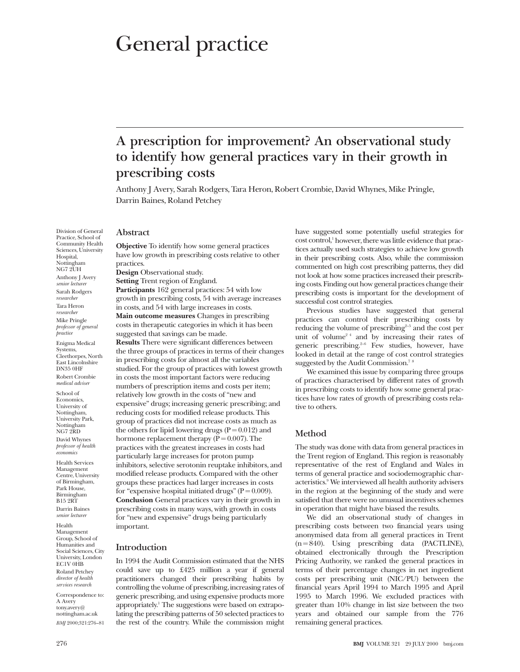# General practice

## **A prescription for improvement? An observational study to identify how general practices vary in their growth in prescribing costs**

Anthony J Avery, Sarah Rodgers, Tara Heron, Robert Crombie, David Whynes, Mike Pringle, Darrin Baines, Roland Petchey

#### **Abstract**

**Objective** To identify how some general practices have low growth in prescribing costs relative to other **practices** 

**Design** Observational study.

**Setting** Trent region of England.

**Participants** 162 general practices: 54 with low growth in prescribing costs, 54 with average increases in costs, and 54 with large increases in costs. **Main outcome measures** Changes in prescribing costs in therapeutic categories in which it has been suggested that savings can be made.

**Results** There were significant differences between the three groups of practices in terms of their changes in prescribing costs for almost all the variables studied. For the group of practices with lowest growth in costs the most important factors were reducing numbers of prescription items and costs per item; relatively low growth in the costs of "new and expensive" drugs; increasing generic prescribing; and reducing costs for modified release products. This group of practices did not increase costs as much as the others for lipid lowering drugs  $(P = 0.012)$  and hormone replacement therapy ( $P = 0.007$ ). The practices with the greatest increases in costs had particularly large increases for proton pump inhibitors, selective serotonin reuptake inhibitors, and modified release products. Compared with the other groups these practices had larger increases in costs for "expensive hospital initiated drugs" ( $P = 0.009$ ). **Conclusion** General practices vary in their growth in prescribing costs in many ways, with growth in costs for "new and expensive" drugs being particularly important.

**Introduction**

In 1994 the Audit Commission estimated that the NHS could save up to £425 million a year if general practitioners changed their prescribing habits by controlling the volume of prescribing, increasing rates of generic prescribing, and using expensive products more appropriately.<sup>1</sup> The suggestions were based on extrapolating the prescribing patterns of 50 selected practices to the rest of the country. While the commission might have suggested some potentially useful strategies for cost control,<sup>1</sup> however, there was little evidence that practices actually used such strategies to achieve low growth in their prescribing costs. Also, while the commission commented on high cost prescribing patterns, they did not look at how some practices increased their prescribing costs. Finding out how general practices change their prescribing costs is important for the development of successful cost control strategies.

Previous studies have suggested that general practices can control their prescribing costs by reducing the volume of prescribing $2-5$  and the cost per unit of volume<sup>24</sup> and by increasing their rates of generic prescribing.<sup>2-6</sup> Few studies, however, have looked in detail at the range of cost control strategies suggested by the Audit Commission.<sup>7</sup>

We examined this issue by comparing three groups of practices characterised by different rates of growth in prescribing costs to identify how some general practices have low rates of growth of prescribing costs relative to others.

#### **Method**

The study was done with data from general practices in the Trent region of England. This region is reasonably representative of the rest of England and Wales in terms of general practice and sociodemographic characteristics.9 We interviewed all health authority advisers in the region at the beginning of the study and were satisfied that there were no unusual incentives schemes in operation that might have biased the results.

We did an observational study of changes in prescribing costs between two financial years using anonymised data from all general practices in Trent  $(n = 840)$ . Using prescribing data (PACTLINE), obtained electronically through the Prescription Pricing Authority, we ranked the general practices in terms of their percentage changes in net ingredient costs per prescribing unit (NIC/PU) between the financial years April 1994 to March 1995 and April 1995 to March 1996. We excluded practices with greater than 10% change in list size between the two years and obtained our sample from the 776 remaining general practices.

Division of General Practice, School of Community Health Sciences, University Hospital,

Systems, Cleethorpes, North East Lincolnshire DN35 0HF Robert Crombie *medical adviser*

School of Economics, University of Nottingham, University Park, Nottingham NG7 2RD David Whynes *professor of health economics*

Health Services Management Centre, University of Birmingham, Park House, Birmingham B15 2RT Darrin Baines *senior lecturer*

Health Management Group, School of Humanities and Social Sciences, City University, London EC1V 0HB Roland Petchey *director of health services research*

Correspondence to: A Avery tony.avery@ nottingham.ac.uk *BMJ* 2000;321:276–81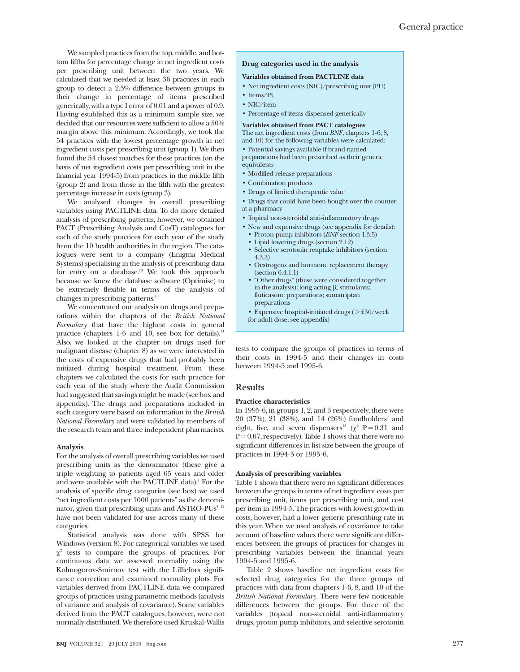We sampled practices from the top, middle, and bottom fifths for percentage change in net ingredient costs per prescribing unit between the two years. We calculated that we needed at least 36 practices in each group to detect a 2.5% difference between groups in their change in percentage of items prescribed generically, with a type I error of 0.01 and a power of 0.9. Having established this as a minimum sample size, we decided that our resources were sufficient to allow a 50% margin above this minimum. Accordingly, we took the 54 practices with the lowest percentage growth in net ingredient costs per prescribing unit (group 1). We then found the 54 closest matches for these practices (on the basis of net ingredient costs per prescribing unit in the financial year 1994-5) from practices in the middle fifth (group 2) and from those in the fifth with the greatest percentage increase in costs (group 3).

We analysed changes in overall prescribing variables using PACTLINE data. To do more detailed analysis of prescribing patterns, however, we obtained PACT (Prescribing Analysis and CosT) catalogues for each of the study practices for each year of the study from the 10 health authorities in the region. The catalogues were sent to a company (Enigma Medical Systems) specialising in the analysis of prescribing data for entry on a database.<sup>10</sup> We took this approach because we knew the database software (Optimise) to be extremely flexible in terms of the analysis of changes in prescribing patterns.10

We concentrated our analysis on drugs and preparations within the chapters of the *British National Formulary* that have the highest costs in general practice (chapters 1-6 and 10, see box for details).<sup>11</sup> Also, we looked at the chapter on drugs used for malignant disease (chapter 8) as we were interested in the costs of expensive drugs that had probably been initiated during hospital treatment. From these chapters we calculated the costs for each practice for each year of the study where the Audit Commission had suggested that savings might be made (see box and appendix). The drugs and preparations included in each category were based on information in the *British National Formulary* and were validated by members of the research team and three independent pharmacists.

#### **Analysis**

For the analysis of overall prescribing variables we used prescribing units as the denominator (these give a triple weighting to patients aged 65 years and older and were available with the PACTLINE data).<sup>1</sup> For the analysis of specific drug categories (see box) we used "net ingredient costs per 1000 patients" as the denominator, given that prescribing units and ASTRO-PUs<sup>4 12</sup> have not been validated for use across many of these categories.

Statistical analysis was done with SPSS for Windows (version 8). For categorical variables we used  $\chi^2$  tests to compare the groups of practices. For continuous data we assessed normality using the Kolmogorov-Smirnov test with the Lilliefors significance correction and examined normality plots. For variables derived from PACTLINE data we compared groups of practices using parametric methods (analysis of variance and analysis of covariance). Some variables derived from the PACT catalogues, however, were not normally distributed. We therefore used Kruskal-Wallis

#### **Drug categories used in the analysis**

#### **Variables obtained from PACTLINE data**

- Net ingredient costs (NIC)/prescribing unit (PU)
- Items/PU
- NIC/item
- Percentage of items dispensed generically

**Variables obtained from PACT catalogues** The net ingredient costs (from *BNF*, chapters 1-6, 8, and 10) for the following variables were calculated: • Potential savings available if brand named

preparations had been prescribed as their generic equivalents

- Modified release preparations
- Combination products
- Drugs of limited therapeutic value

• Drugs that could have been bought over the counter at a pharmacy

- Topical non-steroidal anti-inflammatory drugs
- New and expensive drugs (see appendix for details):
	- Proton pump inhibitors (*BNF* section 1.3.5)
	- Lipid lowering drugs (section 2.12)
	- Selective serotonin reuptake inhibitors (section 4.3.3)
	- Oestrogens and hormone replacement therapy (section 6.4.1.1)
	- "Other drugs" (these were considered together in the analysis): long acting  $\beta_2$  stimulants; fluticasone preparations; sumatriptan preparations
- $\bullet~$  Expensive hospital-initiated drugs (  $\mathcal{>}\text{\textsterling}30/\text{week}$ for adult dose; see appendix)

tests to compare the groups of practices in terms of their costs in 1994-5 and their changes in costs between 1994-5 and 1995-6.

#### **Results**

#### **Practice characteristics**

In 1995-6, in groups 1, 2, and 3 respectively, there were 20 (37%), 21 (38%), and 14 (26%) fundholders<sup>7</sup> and eight, five, and seven dispensers<sup>13</sup> ( $\chi^2$  P = 0.31 and  $P = 0.67$ , respectively). Table 1 shows that there were no significant differences in list size between the groups of practices in 1994-5 or 1995-6.

#### **Analysis of prescribing variables**

Table 1 shows that there were no significant differences between the groups in terms of net ingredient costs per prescribing unit, items per prescribing unit, and cost per item in 1994-5. The practices with lowest growth in costs, however, had a lower generic prescribing rate in this year. When we used analysis of covariance to take account of baseline values there were significant differences between the groups of practices for changes in prescribing variables between the financial years 1994-5 and 1995-6.

Table 2 shows baseline net ingredient costs for selected drug categories for the three groups of practices with data from chapters 1-6, 8, and 10 of the *British National Formulary*. There were few noticeable differences between the groups. For three of the variables (topical non-steroidal anti-inflammatory drugs, proton pump inhibitors, and selective serotonin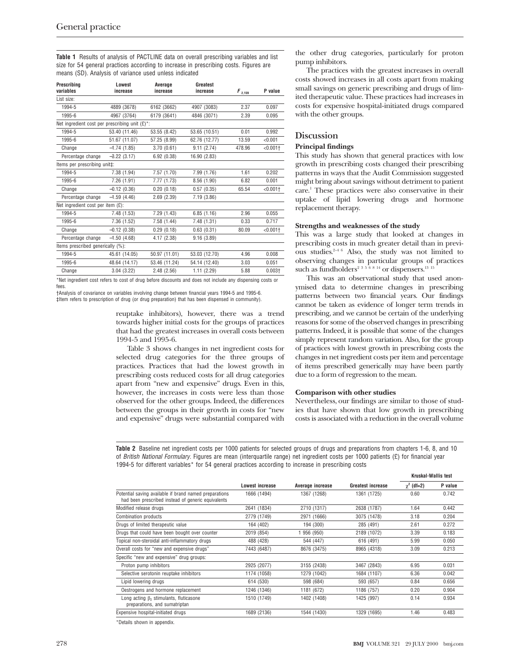**Table 1** Results of analysis of PACTLINE data on overall prescribing variables and list size for 54 general practices according to increase in prescribing costs. Figures are means (SD). Analysis of variance used unless indicated

| Prescribina<br>variables                           | Lowest<br>increase | Greatest<br>Average<br>increase<br>increase |               |             | P value     |
|----------------------------------------------------|--------------------|---------------------------------------------|---------------|-------------|-------------|
| List size:                                         |                    |                                             |               | $F_{2,159}$ |             |
| 1994-5                                             |                    |                                             |               | 2.37        | 0.097       |
|                                                    | 4889 (3678)        | 6162 (3662)                                 | 4907 (3083)   |             |             |
| 1995-6                                             | 4967 (3764)        | 6179 (3641)                                 | 4846 (3071)   | 2.39        | 0.095       |
| Net ingredient cost per prescribing unit $(E)^*$ : |                    |                                             |               |             |             |
| 1994-5                                             | 53.40 (11.46)      | 53.55 (8.42)                                | 53.65 (10.51) | 0.01        | 0.992       |
| 1995-6                                             | 51.67 (11.07)      | 57.25 (8.99)                                | 62.76 (12.77) | 13.59       | < 0.001     |
| Change                                             | $-1.74(1.85)$      | 3.70(0.61)                                  | 9.11(2.74)    | 478.96      | $< 0.001 +$ |
| Percentage change                                  | $-3.22(3.17)$      | 6.92(0.38)                                  | 16.90 (2.83)  |             |             |
| Items per prescribing unit‡:                       |                    |                                             |               |             |             |
| 1994-5                                             | 7.38 (1.94)        | 7.57 (1.70)                                 | 7.99 (1.76)   | 1.61        | 0.202       |
| 1995-6                                             | 7.26(1.91)         | 7.77 (1.73)                                 | 8.56 (1.90)   | 6.82        | 0.001       |
| Change                                             | $-0.12(0.36)$      | 0.20(0.18)                                  | 0.57(0.35)    | 65.54       | $< 0.001 +$ |
| Percentage change                                  | $-1.59(4.46)$      | 2.69(2.39)                                  | 7.19 (3.86)   |             |             |
| Net ingredient cost per item $(E)$ :               |                    |                                             |               |             |             |
| 1994-5                                             | 7.48(1.53)         | 7.29(1.43)                                  | 6.85(1.16)    | 2.96        | 0.055       |
| 1995-6                                             | 7.36(1.52)         | 7.58(1.44)                                  | 7.48 (1.31)   | 0.33        | 0.717       |
| Change                                             | $-0.12(0.38)$      | 0.29(0.18)                                  | 0.63(0.31)    | 80.09       | $< 0.001$ + |
| Percentage change                                  | $-1.50(4.68)$      | 4.17 (2.38)                                 | 9.16(3.89)    |             |             |
| Items prescribed generically (%):                  |                    |                                             |               |             |             |
| 1994-5                                             | 45.61 (14.05)      | 50.97 (11.01)                               | 53.03 (12.70) | 4.96        | 0.008       |
| 1995-6                                             | 48.64 (14.17)      | 53.46 (11.24)                               | 54.14 (12.40) | 3.03        | 0.051       |
| Change                                             | 3.04(3.22)         | 2.48(2.56)                                  | 1.11(2.29)    | 5.88        | $0.003+$    |
|                                                    |                    |                                             |               |             |             |

\*Net ingredient cost refers to cost of drug before discounts and does not include any dispensing costs or fees. †Analysis of covariance on variables involving change between financial years 1994-5 and 1995-6.

‡Item refers to prescription of drug (or drug preparation) that has been dispensed in community).

reuptake inhibitors), however, there was a trend towards higher initial costs for the groups of practices that had the greatest increases in overall costs between 1994-5 and 1995-6.

Table 3 shows changes in net ingredient costs for selected drug categories for the three groups of practices. Practices that had the lowest growth in prescribing costs reduced costs for all drug categories apart from "new and expensive" drugs. Even in this, however, the increases in costs were less than those observed for the other groups. Indeed, the differences between the groups in their growth in costs for "new and expensive" drugs were substantial compared with

the other drug categories, particularly for proton pump inhibitors.

The practices with the greatest increases in overall costs showed increases in all costs apart from making small savings on generic prescribing and drugs of limited therapeutic value. These practices had increases in costs for expensive hospital-initiated drugs compared with the other groups.

### **Discussion**

#### **Principal findings**

This study has shown that general practices with low growth in prescribing costs changed their prescribing patterns in ways that the Audit Commission suggested might bring about savings without detriment to patient care.1 These practices were also conservative in their uptake of lipid lowering drugs and hormone replacement therapy.

#### **Strengths and weaknesses of the study**

This was a large study that looked at changes in prescribing costs in much greater detail than in previous studies.2–4 6 Also, the study was not limited to observing changes in particular groups of practices such as fundholders<sup>2 3 5 6 8 14</sup> or dispensers.<sup>13 15</sup>

This was an observational study that used anonymised data to determine changes in prescribing patterns between two financial years. Our findings cannot be taken as evidence of longer term trends in prescribing, and we cannot be certain of the underlying reasons for some of the observed changes in prescribing patterns. Indeed, it is possible that some of the changes simply represent random variation. Also, for the group of practices with lowest growth in prescribing costs the changes in net ingredient costs per item and percentage of items prescribed generically may have been partly due to a form of regression to the mean.

#### **Comparison with other studies**

Nevertheless, our findings are similar to those of studies that have shown that low growth in prescribing costs is associated with a reduction in the overall volume

**Table 2** Baseline net ingredient costs per 1000 patients for selected groups of drugs and preparations from chapters 1-6, 8, and 10 of British National Formulary. Figures are mean (interquartile range) net ingredient costs per 1000 patients (£) for financial year 1994-5 for different variables\* for 54 general practices according to increase in prescribing costs

|                                                                                                              |                 |                  |                          | <b>Kruskal-Wallis test</b> |         |
|--------------------------------------------------------------------------------------------------------------|-----------------|------------------|--------------------------|----------------------------|---------|
|                                                                                                              | Lowest increase | Average increase | <b>Greatest increase</b> | $\chi^2$ (df=2)            | P value |
| Potential saving available if brand named preparations<br>had been prescribed instead of generic equivalents | 1666 (1494)     | 1367 (1268)      | 1361 (1725)              | 0.60                       | 0.742   |
| Modified release drugs                                                                                       | 2641 (1834)     | 2710 (1317)      | 2638 (1787)              | 1.64                       | 0.442   |
| Combination products                                                                                         | 2779 (1749)     | 2971 (1666)      | 3075 (1478)              | 3.18                       | 0.204   |
| Drugs of limited therapeutic value                                                                           | 164 (402)       | 194 (300)        | 285 (491)                | 2.61                       | 0.272   |
| Drugs that could have been bought over counter                                                               | 2019 (854)      | 956 (950)        | 2189 (1072)              | 3.39                       | 0.183   |
| Topical non-steroidal anti-inflammatory drugs                                                                | 488 (428)       | 544 (447)        | 616 (491)                | 5.99                       | 0.050   |
| Overall costs for "new and expensive drugs"                                                                  | 7443 (6487)     | 8676 (3475)      | 8965 (4318)              | 3.09                       | 0.213   |
| Specific "new and expensive" drug groups:                                                                    |                 |                  |                          |                            |         |
| Proton pump inhibitors                                                                                       | 2925 (2077)     | 3155 (2438)      | 3467 (2843)              | 6.95                       | 0.031   |
| Selective serotonin reuptake inhibitors                                                                      | 1174 (1058)     | 1279 (1042)      | 1684 (1107)              | 6.36                       | 0.042   |
| Lipid lowering drugs                                                                                         | 614 (530)       | 598 (684)        | 593 (657)                | 0.84                       | 0.656   |
| Oestrogens and hormone replacement                                                                           | 1246 (1346)     | 1181 (672)       | 1186 (757)               | 0.20                       | 0.904   |
| Long acting $\beta_2$ stimulants, fluticasone<br>preparations, and sumatriptan                               | 1510 (1749)     | 1402 (1408)      | 1425 (997)               | 0.14                       | 0.934   |
| Expensive hospital-initiated drugs                                                                           | 1689 (2136)     | 1544 (1430)      | 1329 (1695)              | 1.46                       | 0.483   |
|                                                                                                              |                 |                  |                          |                            |         |

\*Details shown in appendix.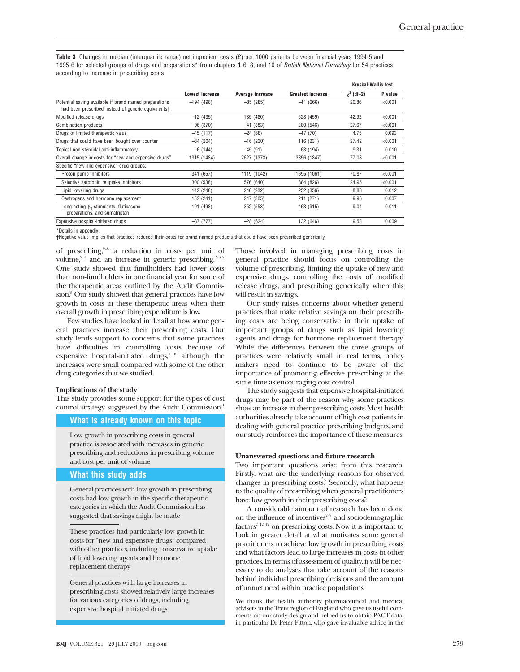**Table 3** Changes in median (interquartile range) net ingredient costs (£) per 1000 patients between financial years 1994-5 and 1995-6 for selected groups of drugs and preparations<sup>\*</sup> from chapters 1-6, 8, and 10 of British National Formulary for 54 practices according to increase in prescribing costs

|                                                                                                               |                 |                  |                          | Kruskal-Wallis test |         |
|---------------------------------------------------------------------------------------------------------------|-----------------|------------------|--------------------------|---------------------|---------|
|                                                                                                               | Lowest increase | Average increase | <b>Greatest increase</b> | $\gamma^2$ (df=2)   | P value |
| Potential saving available if brand named preparations<br>had been prescribed instead of generic equivalents† | $-194(498)$     | $-85(285)$       | $-11(266)$               | 20.86               | < 0.001 |
| Modified release drugs                                                                                        | $-12(435)$      | 185 (480)        | 528 (459)                | 42.92               | < 0.001 |
| Combination products                                                                                          | $-96(370)$      | 41 (383)         | 280 (546)                | 27.67               | < 0.001 |
| Drugs of limited therapeutic value                                                                            | $-45(117)$      | $-24(68)$        | $-17(70)$                | 4.75                | 0.093   |
| Drugs that could have been bought over counter                                                                | $-84(204)$      | $-16(230)$       | 116 (231)                | 27.42               | < 0.001 |
| Topical non-steroidal anti-inflammatory                                                                       | $-6(144)$       | 45 (91)          | 63 (194)                 | 9.31                | 0.010   |
| Overall change in costs for "new and expensive drugs"                                                         | 1315 (1484)     | 2627 (1373)      | 3856 (1847)              | 77.08               | < 0.001 |
| Specific "new and expensive" drug groups:                                                                     |                 |                  |                          |                     |         |
| Proton pump inhibitors                                                                                        | 341 (657)       | 1119 (1042)      | 1695 (1061)              | 70.87               | < 0.001 |
| Selective serotonin reuptake inhibitors                                                                       | 300 (538)       | 576 (640)        | 884 (826)                | 24.95               | < 0.001 |
| Lipid lowering drugs                                                                                          | 142 (248)       | 240 (232)        | 252 (356)                | 8.88                | 0.012   |
| Oestrogens and hormone replacement                                                                            | 152 (241)       | 247 (305)        | 211 (271)                | 9.96                | 0.007   |
| Long acting $\beta_2$ stimulants, fluticasone<br>preparations, and sumatriptan                                | 191 (498)       | 352 (553)        | 463 (915)                | 9.04                | 0.011   |
| Expensive hospital-initiated drugs                                                                            | $-87(777)$      | $-28(624)$       | 132 (646)                | 9.53                | 0.009   |
|                                                                                                               |                 |                  |                          |                     |         |

\*Details in appendix.

†Negative value implies that practices reduced their costs for brand named products that could have been prescribed generically.

of prescribing,<sup>2-8</sup> a reduction in costs per unit of volume,<sup>24</sup> and an increase in generic prescribing.<sup>2–6 8</sup> One study showed that fundholders had lower costs than non-fundholders in one financial year for some of the therapeutic areas outlined by the Audit Commission.8 Our study showed that general practices have low growth in costs in these therapeutic areas when their overall growth in prescribing expenditure is low.

Few studies have looked in detail at how some general practices increase their prescribing costs. Our study lends support to concerns that some practices have difficulties in controlling costs because of expensive hospital-initiated drugs, $1^{16}$  although the increases were small compared with some of the other drug categories that we studied.

#### **Implications of the study**

This study provides some support for the types of cost control strategy suggested by the Audit Commission.<sup>1</sup>

#### **What is already known on this topic**

Low growth in prescribing costs in general practice is associated with increases in generic prescribing and reductions in prescribing volume and cost per unit of volume

#### **What this study adds**

General practices with low growth in prescribing costs had low growth in the specific therapeutic categories in which the Audit Commission has suggested that savings might be made

These practices had particularly low growth in costs for "new and expensive drugs" compared with other practices, including conservative uptake of lipid lowering agents and hormone replacement therapy

General practices with large increases in prescribing costs showed relatively large increases for various categories of drugs, including expensive hospital initiated drugs

Those involved in managing prescribing costs in general practice should focus on controlling the volume of prescribing, limiting the uptake of new and expensive drugs, controlling the costs of modified release drugs, and prescribing generically when this will result in savings.

Our study raises concerns about whether general practices that make relative savings on their prescribing costs are being conservative in their uptake of important groups of drugs such as lipid lowering agents and drugs for hormone replacement therapy. While the differences between the three groups of practices were relatively small in real terms, policy makers need to continue to be aware of the importance of promoting effective prescribing at the same time as encouraging cost control.

The study suggests that expensive hospital-initiated drugs may be part of the reason why some practices show an increase in their prescribing costs. Most health authorities already take account of high cost patients in dealing with general practice prescribing budgets, and our study reinforces the importance of these measures.

#### **Unanswered questions and future research**

Two important questions arise from this research. Firstly, what are the underlying reasons for observed changes in prescribing costs? Secondly, what happens to the quality of prescribing when general practitioners have low growth in their prescribing costs?

A considerable amount of research has been done on the influence of incentives $2-7$  and sociodemographic factors<sup> $71217$ </sup> on prescribing costs. Now it is important to look in greater detail at what motivates some general practitioners to achieve low growth in prescribing costs and what factors lead to large increases in costs in other practices. In terms of assessment of quality, it will be necessary to do analyses that take account of the reasons behind individual prescribing decisions and the amount of unmet need within practice populations.

We thank the health authority pharmaceutical and medical advisers in the Trent region of England who gave us useful comments on our study design and helped us to obtain PACT data, in particular Dr Peter Fitton, who gave invaluable advice in the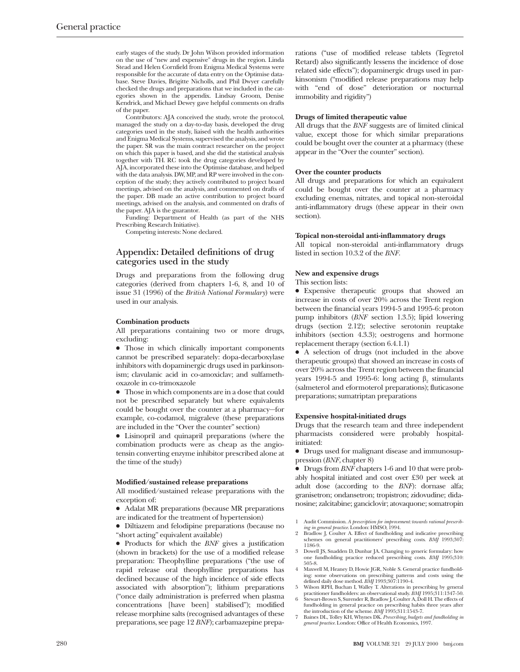early stages of the study. Dr John Wilson provided information on the use of "new and expensive" drugs in the region. Linda Stead and Helen Cornfield from Enigma Medical Systems were responsible for the accurate of data entry on the Optimise database. Steve Davies, Brigitte Nicholls, and Phil Dwyer carefully checked the drugs and preparations that we included in the categories shown in the appendix. Lindsay Groom, Denise Kendrick, and Michael Dewey gave helpful comments on drafts of the paper.

Contributors: AJA conceived the study, wrote the protocol, managed the study on a day-to-day basis, developed the drug categories used in the study, liaised with the health authorities and Enigma Medical Systems, supervised the analysis, and wrote the paper. SR was the main contract researcher on the project on which this paper is based, and she did the statistical analysis together with TH. RC took the drug categories developed by AJA, incorporated these into the Optimise database, and helped with the data analysis. DW, MP, and RP were involved in the conception of the study; they actively contributed to project board meetings, advised on the analysis, and commented on drafts of the paper. DB made an active contribution to project board meetings, advised on the analysis, and commented on drafts of the paper. AJA is the guarantor.

Funding: Department of Health (as part of the NHS Prescribing Research Initiative).

Competing interests: None declared.

#### **Appendix: Detailed definitions of drug categories used in the study**

Drugs and preparations from the following drug categories (derived from chapters 1-6, 8, and 10 of issue 31 (1996) of the *British National Formulary*) were used in our analysis*.*

#### **Combination products**

All preparations containing two or more drugs, excluding:

• Those in which clinically important components cannot be prescribed separately: dopa-decarboxylase inhibitors with dopaminergic drugs used in parkinsonism; clavulanic acid in co-amoxiclav; and sulfamethoxazole in co-trimoxazole

• Those in which components are in a dose that could not be prescribed separately but where equivalents could be bought over the counter at a pharmacy—for example, co-codamol, migraleve (these preparations are included in the "Over the counter" section)

• Lisinopril and quinapril preparations (where the combination products were as cheap as the angiotensin converting enzyme inhibitor prescribed alone at the time of the study)

#### **Modified/sustained release preparations**

All modified/sustained release preparations with the exception of:

• Adalat MR preparations (because MR preparations are indicated for the treatment of hypertension)

• Diltiazem and felodipine preparations (because no "short acting" equivalent available)

• Products for which the *BNF* gives a justification (shown in brackets) for the use of a modified release preparation: Theophylline preparations ("the use of rapid release oral theophylline preparations has declined because of the high incidence of side effects associated with absorption"); lithium preparations ("once daily administration is preferred when plasma concentrations [have been] stabilised"); modified release morphine salts (recognised advantages of these preparations, see page 12 *BNF*); carbamazepine prepa-

rations ("use of modified release tablets (Tegretol Retard) also significantly lessens the incidence of dose related side effects"); dopaminergic drugs used in parkinsonism ("modified release preparations may help with "end of dose" deterioration or nocturnal immobility and rigidity")

#### **Drugs of limited therapeutic value**

All drugs that the *BNF* suggests are of limited clinical value, except those for which similar preparations could be bought over the counter at a pharmacy (these appear in the "Over the counter" section).

#### **Over the counter products**

All drugs and preparations for which an equivalent could be bought over the counter at a pharmacy excluding enemas, nitrates, and topical non-steroidal anti-inflammatory drugs (these appear in their own section).

#### **Topical non-steroidal anti-inflammatory drugs**

All topical non-steroidal anti-inflammatory drugs listed in section 10.3.2 of the *BNF*.

#### **New and expensive drugs**

This section lists:

• Expensive therapeutic groups that showed an increase in costs of over 20% across the Trent region between the financial years 1994-5 and 1995-6: proton pump inhibitors (*BNF* section 1.3.5); lipid lowering drugs (section 2.12); selective serotonin reuptake inhibitors (section 4.3.3); oestrogens and hormone replacement therapy (section 6.4.1.1)

• A selection of drugs (not included in the above therapeutic groups) that showed an increase in costs of over 20% across the Trent region between the financial years 1994-5 and 1995-6: long acting  $\beta$ , stimulants (salmeterol and eformoterol preparations); fluticasone preparations; sumatriptan preparations

#### **Expensive hospital-initiated drugs**

Drugs that the research team and three independent pharmacists considered were probably hospitalinitiated:

x Drugs used for malignant disease and immunosuppression (*BNF*, chapter 8)

• Drugs from *BNF* chapters 1-6 and 10 that were probably hospital initiated and cost over £30 per week at adult dose (according to the *BNF*): dornase alfa; granisetron; ondansetron; tropistron; zidovudine; didanosine; zalcitabine; ganciclovir; atovaquone; somatropin

- 1 Audit Commission. *A prescription for improvement: towards rational prescrib-*
- *ing in general practice*. London: HMSO, 1994. 2 Bradlow J, Coulter A. Effect of fundholding and indicative prescribing schemes on general practitioners' prescribing costs. *BMJ* 1993;307: 1186-9.
- 3 Dowell JS, Snadden D, Dunbar JA. Changing to generic formulary: how one fundholding practice reduced prescribing costs. *BMJ* 1995;310: 505-8.
- 4 Maxwell M, Heaney D, Howie JGR, Noble S. General practice fundholding: some observations on prescribing patterns and costs using the defined daily dose method. *BMJ* 1993;307:1190-4.
- 
- 5 Wilson RPH, Buchan I, Walley T. Alterations in prescribing by general<br>practitioner fundholders: an observational study. BMJ 1995;311:1347-50.<br>6 Stewart-Brown S, Surender R, Bradlow J, Coulter A, Doll H. The effects of fundholding in general practice on prescribing habits three years after the introduction of the scheme. *BMJ* 1995;311:1543-7.
- 7 Baines DL, Tolley KH, Whynes DK. *Prescribing, budgets and fundholding in general practice*. London: Office of Health Economics, 1997.